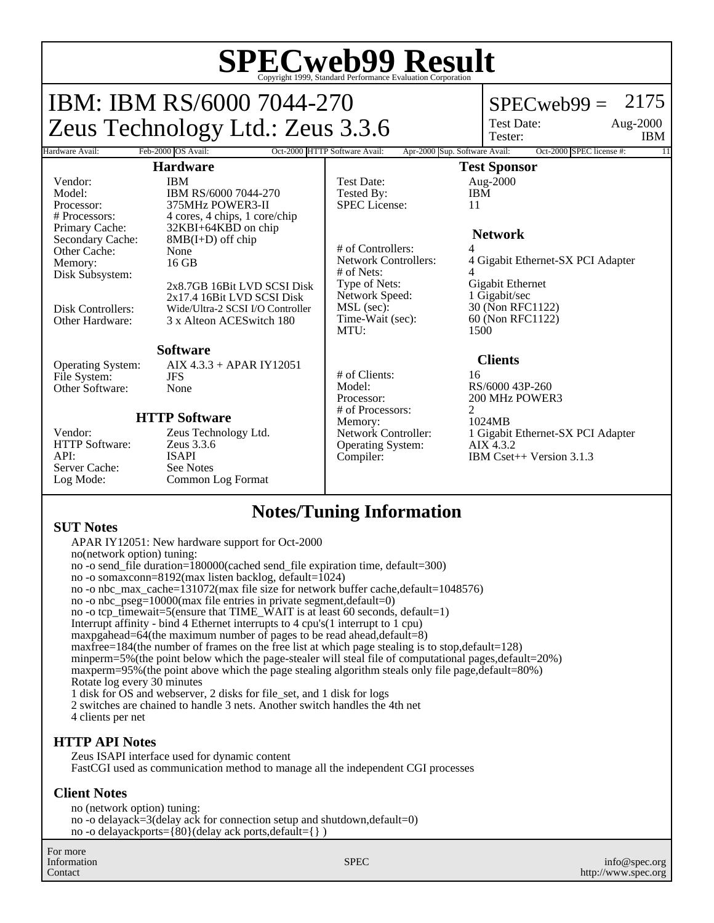# **SPECweb99 Result** Copyright 1999, Standard Performance Evaluation Corporation

## IBM: IBM RS/6000 7044-270 Zeus Technology Ltd.: Zeus 3.3.6

## $SPECweb99 = 2175$

Test Date: Tester:

Aug-2000 IBM

#### Hardware Avail: Feb-2000 OS Avail: Oct-2000 HTTP Software Avail: Apr-2000 Sup. Software Avail: Oct-2000 SPEC license #: **Hardware** Vendor: IBM Model: IBM RS/6000 7044-270<br>Processor: 375MHz POWER3-II Processor: 375MHz POWER3-II<br># Processors: 4 cores. 4 chips. 1 core # Processors: 4 cores, 4 chips, 1 core/chip<br>Primary Cache: 32KBI+64KBD on chip Primary Cache: 32KBI+64KBD on chip<br>Secondary Cache: 8MB(I+D) off chip  $8MB(I+D)$  off chip Other Cache: None<br>
Memory: 16 GB Memory: Disk Subsystem: 2x8.7GB 16Bit LVD SCSI Disk 2x17.4 16Bit LVD SCSI Disk Disk Controllers: Wide/Ultra-2 SCSI I/O Controller<br>Other Hardware: 3 x Alteon ACES witch 180 3 x Alteon ACESwitch 180 **Software** Operating System: AIX 4.3.3 + APAR IY12051<br>File System: IFS File System: JFS<br>Other Software: None Other Software: **HTTP Software** Vendor: Zeus Technology Ltd.<br>
HTTP Software: Zeus 3.3.6 HTTP Software:<br>API: ISAPI<br>See Notes Server Cache:<br>Log Mode: Common Log Format **Test Sponsor** Test Date: Aug-2000<br>Tested By: FIBM Tested By: IBM<br>SPEC License: 11 SPEC License: **Network** # of Controllers: 4 4 Gigabit Ethernet-SX PCI Adapter # of Nets: 4 Type of Nets:<br>
Network Speed: 1 Gigabit/sec Network Speed:<br>MSL (sec): MSL (sec): 30 (Non RFC1122)<br>Time-Wait (sec): 60 (Non RFC1122) 60 (Non RFC1122) MTU: 1500 **Clients** # of Clients: 16 Model: RS/6000 43P-260<br>Processor: 200 MHz POWER 200 MHz POWER3 # of Processors: 2<br>Memory: 2 1024MB Memory:<br>Network Controller: 1 Gigabit Ethernet-SX PCI Adapter<br>AIX 4.3.2 Operating System: Compiler: IBM Cset++ Version 3.1.3

## **Notes/Tuning Information**

**SUT Notes** APAR IY12051: New hardware support for Oct-2000 no(network option) tuning: no -o send\_file duration=180000(cached send\_file expiration time, default=300) no -o somaxconn=8192(max listen backlog, default=1024)

no -o nbc\_max\_cache=131072(max file size for network buffer cache,default=1048576) no -o nbc\_pseg=10000(max file entries in private segment,default=0) no -o tcp\_timewait=5(ensure that TIME\_WAIT is at least 60 seconds, default=1) Interrupt affinity - bind 4 Ethernet interrupts to 4 cpu's(1 interrupt to 1 cpu) maxpgahead=64(the maximum number of pages to be read ahead,default=8) maxfree=184(the number of frames on the free list at which page stealing is to stop,default=128) minperm=5%(the point below which the page-stealer will steal file of computational pages,default=20%) maxperm=95%(the point above which the page stealing algorithm steals only file page,default=80%) Rotate log every 30 minutes 1 disk for OS and webserver, 2 disks for file\_set, and 1 disk for logs 2 switches are chained to handle 3 nets. Another switch handles the 4th net 4 clients per net

### **HTTP API Notes**

Zeus ISAPI interface used for dynamic content FastCGI used as communication method to manage all the independent CGI processes

### **Client Notes**

no (network option) tuning: no -o delayack=3(delay ack for connection setup and shutdown,default=0) no -o delayackports={80}(delay ack ports,default={} )

For more Information Contact